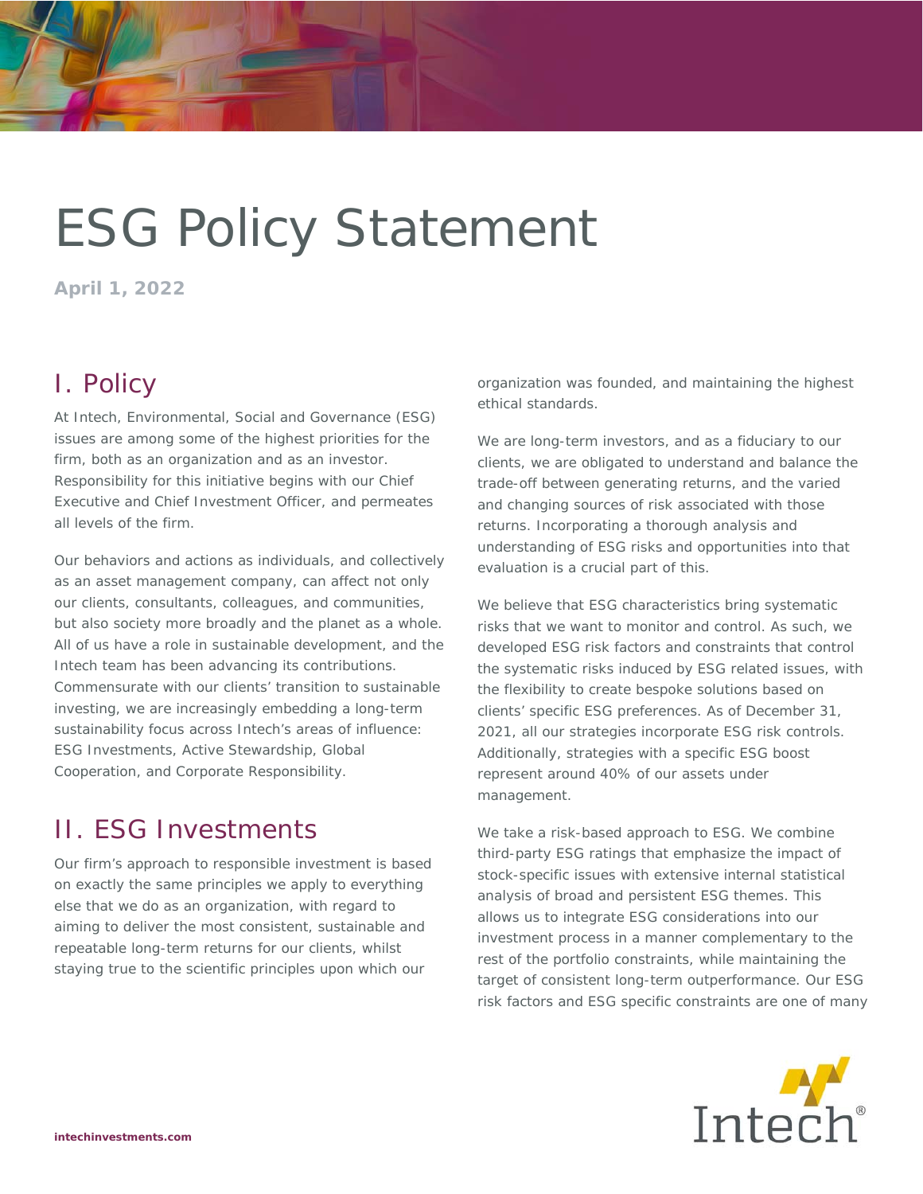# ESG Policy Statement

**April 1, 2022** 

## I. Policy

At Intech, Environmental, Social and Governance (ESG) issues are among some of the highest priorities for the firm, both as an organization and as an investor. Responsibility for this initiative begins with our Chief Executive and Chief Investment Officer, and permeates all levels of the firm.

Our behaviors and actions as individuals, and collectively as an asset management company, can affect not only our clients, consultants, colleagues, and communities, but also society more broadly and the planet as a whole. All of us have a role in sustainable development, and the Intech team has been advancing its contributions. Commensurate with our clients' transition to sustainable investing, we are increasingly embedding a long-term sustainability focus across Intech's areas of influence: ESG Investments, Active Stewardship, Global Cooperation, and Corporate Responsibility.

## II. ESG Investments

Our firm's approach to responsible investment is based on exactly the same principles we apply to everything else that we do as an organization, with regard to aiming to deliver the most consistent, sustainable and repeatable long-term returns for our clients, whilst staying true to the scientific principles upon which our

organization was founded, and maintaining the highest ethical standards.

We are long-term investors, and as a fiduciary to our clients, we are obligated to understand and balance the trade-off between generating returns, and the varied and changing sources of risk associated with those returns. Incorporating a thorough analysis and understanding of ESG risks and opportunities into that evaluation is a crucial part of this.

We believe that ESG characteristics bring systematic risks that we want to monitor and control. As such, we developed ESG risk factors and constraints that control the systematic risks induced by ESG related issues, with the flexibility to create bespoke solutions based on clients' specific ESG preferences. As of December 31, 2021, all our strategies incorporate ESG risk controls. Additionally, strategies with a specific ESG boost represent around 40% of our assets under management.

We take a risk-based approach to ESG. We combine third-party ESG ratings that emphasize the impact of stock-specific issues with extensive internal statistical analysis of broad and persistent ESG themes. This allows us to integrate ESG considerations into our investment process in a manner complementary to the rest of the portfolio constraints, while maintaining the target of consistent long-term outperformance. Our ESG risk factors and ESG specific constraints are one of many

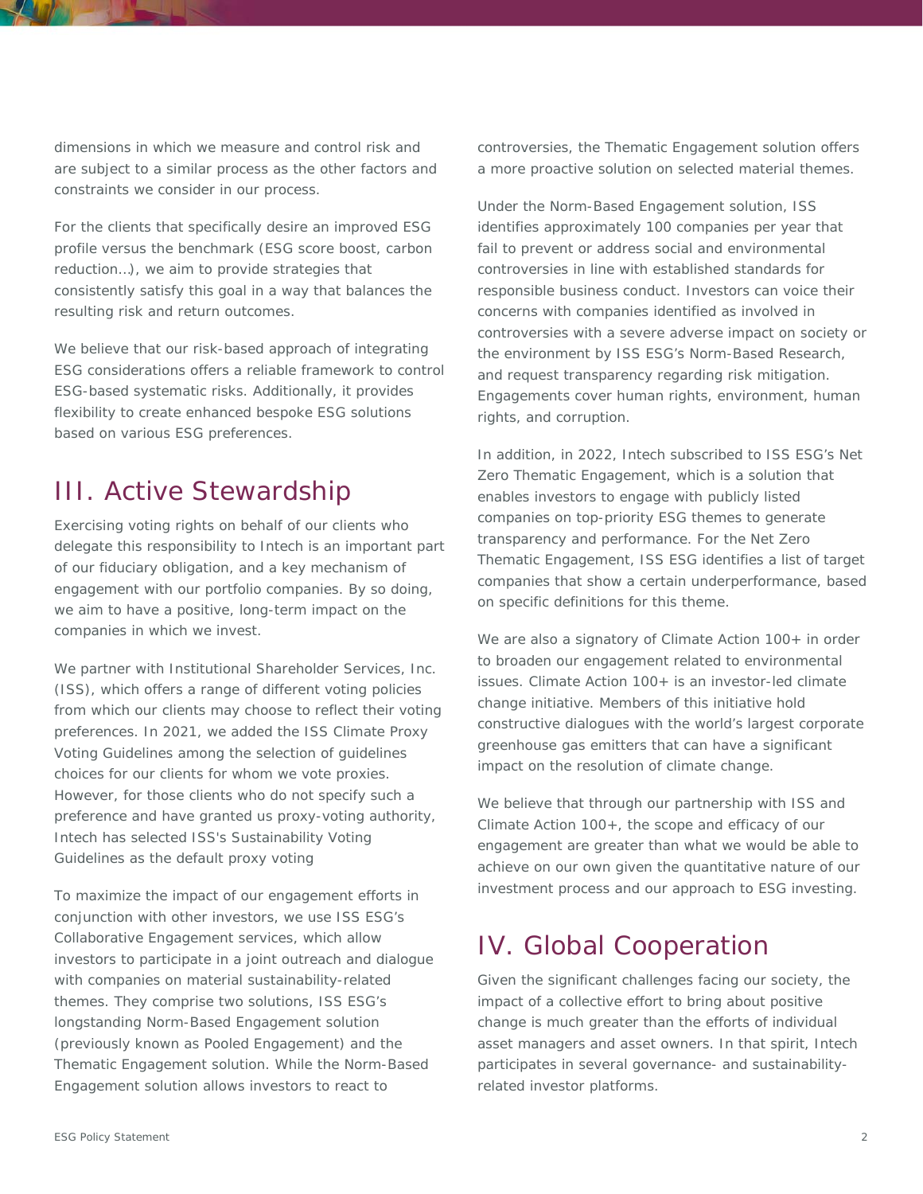dimensions in which we measure and control risk and are subject to a similar process as the other factors and constraints we consider in our process.

For the clients that specifically desire an improved ESG profile versus the benchmark (ESG score boost, carbon reduction…), we aim to provide strategies that consistently satisfy this goal in a way that balances the resulting risk and return outcomes.

We believe that our risk-based approach of integrating ESG considerations offers a reliable framework to control ESG-based systematic risks. Additionally, it provides flexibility to create enhanced bespoke ESG solutions based on various ESG preferences.

## III. Active Stewardship

Exercising voting rights on behalf of our clients who delegate this responsibility to Intech is an important part of our fiduciary obligation, and a key mechanism of engagement with our portfolio companies. By so doing, we aim to have a positive, long-term impact on the companies in which we invest.

We partner with Institutional Shareholder Services, Inc. (ISS), which offers a range of different voting policies from which our clients may choose to reflect their voting preferences. In 2021, we added the ISS Climate Proxy Voting Guidelines among the selection of guidelines choices for our clients for whom we vote proxies. However, for those clients who do not specify such a preference and have granted us proxy-voting authority, Intech has selected ISS's Sustainability Voting Guidelines as the default proxy voting

To maximize the impact of our engagement efforts in conjunction with other investors, we use ISS ESG's Collaborative Engagement services, which allow investors to participate in a joint outreach and dialogue with companies on material sustainability-related themes. They comprise two solutions, ISS ESG's longstanding Norm-Based Engagement solution (previously known as Pooled Engagement) and the Thematic Engagement solution. While the Norm-Based Engagement solution allows investors to react to

controversies, the Thematic Engagement solution offers a more proactive solution on selected material themes.

Under the Norm-Based Engagement solution, ISS identifies approximately 100 companies per year that fail to prevent or address social and environmental controversies in line with established standards for responsible business conduct. Investors can voice their concerns with companies identified as involved in controversies with a severe adverse impact on society or the environment by ISS ESG's Norm-Based Research, and request transparency regarding risk mitigation. Engagements cover human rights, environment, human rights, and corruption.

In addition, in 2022, Intech subscribed to ISS ESG's Net Zero Thematic Engagement, which is a solution that enables investors to engage with publicly listed companies on top-priority ESG themes to generate transparency and performance. For the Net Zero Thematic Engagement, ISS ESG identifies a list of target companies that show a certain underperformance, based on specific definitions for this theme.

We are also a signatory of Climate Action 100+ in order to broaden our engagement related to environmental issues. Climate Action 100+ is an investor-led climate change initiative. Members of this initiative hold constructive dialogues with the world's largest corporate greenhouse gas emitters that can have a significant impact on the resolution of climate change.

We believe that through our partnership with ISS and Climate Action 100+, the scope and efficacy of our engagement are greater than what we would be able to achieve on our own given the quantitative nature of our investment process and our approach to ESG investing.

#### IV. Global Cooperation

Given the significant challenges facing our society, the impact of a collective effort to bring about positive change is much greater than the efforts of individual asset managers and asset owners. In that spirit, Intech participates in several governance- and sustainabilityrelated investor platforms.